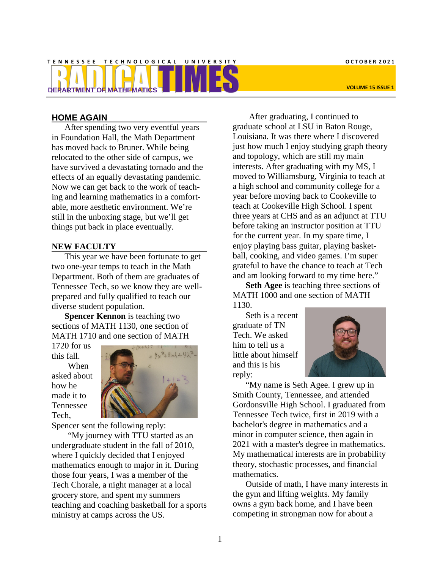# TENNESSEE TECHNOLOGICAL UNIVERSITY COTOBER 2021 **DEPARTMENT OF MATHEMATICS VOLUME 15 ISSUE 1**

## **HOME AGAIN**

After spending two very eventful years in Foundation Hall, the Math Department has moved back to Bruner. While being relocated to the other side of campus, we have survived a devastating tornado and the effects of an equally devastating pandemic. Now we can get back to the work of teaching and learning mathematics in a comfortable, more aesthetic environment. We're still in the unboxing stage, but we'll get things put back in place eventually.

## **NEW FACULTY**

This year we have been fortunate to get two one-year temps to teach in the Math Department. Both of them are graduates of Tennessee Tech, so we know they are wellprepared and fully qualified to teach our diverse student population.

**Spencer Kennon** is teaching two sections of MATH 1130, one section of MATH 1710 and one section of MATH

1720 for us this fall. When asked about how he made it to Tennessee Tech,



Spencer sent the following reply:

"My journey with TTU started as an undergraduate student in the fall of 2010, where I quickly decided that I enjoyed mathematics enough to major in it. During those four years, I was a member of the Tech Chorale, a night manager at a local grocery store, and spent my summers teaching and coaching basketball for a sports ministry at camps across the US.

After graduating, I continued to graduate school at LSU in Baton Rouge, Louisiana. It was there where I discovered just how much I enjoy studying graph theory and topology, which are still my main interests. After graduating with my MS, I moved to Williamsburg, Virginia to teach at a high school and community college for a year before moving back to Cookeville to teach at Cookeville High School. I spent three years at CHS and as an adjunct at TTU before taking an instructor position at TTU for the current year. In my spare time, I enjoy playing bass guitar, playing basketball, cooking, and video games. I'm super grateful to have the chance to teach at Tech and am looking forward to my time here."

**Seth Agee** is teaching three sections of MATH 1000 and one section of MATH 1130.

Seth is a recent graduate of TN Tech. We asked him to tell us a little about himself and this is his reply:



"My name is Seth Agee. I grew up in Smith County, Tennessee, and attended Gordonsville High School. I graduated from Tennessee Tech twice, first in 2019 with a bachelor's degree in mathematics and a minor in computer science, then again in 2021 with a master's degree in mathematics. My mathematical interests are in probability theory, stochastic processes, and financial mathematics.

Outside of math, I have many interests in the gym and lifting weights. My family owns a gym back home, and I have been competing in strongman now for about a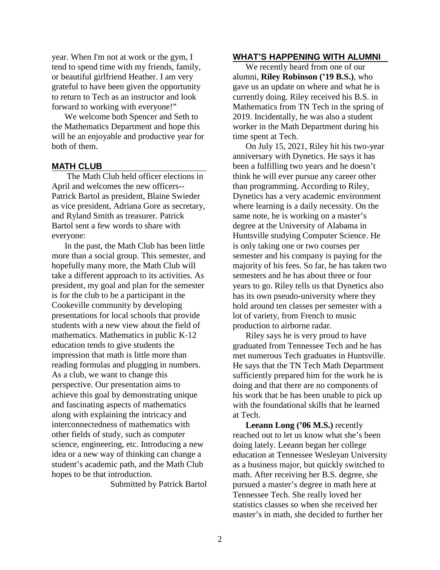year. When I'm not at work or the gym, I tend to spend time with my friends, family, or beautiful girlfriend Heather. I am very grateful to have been given the opportunity to return to Tech as an instructor and look forward to working with everyone!"

We welcome both Spencer and Seth to the Mathematics Department and hope this will be an enjoyable and productive year for both of them.

## **MATH CLUB**

The Math Club held officer elections in April and welcomes the new officers-- Patrick Bartol as president, Blaine Swieder as vice president, Adriana Gore as secretary, and Ryland Smith as treasurer. Patrick Bartol sent a few words to share with everyone:

In the past, the Math Club has been little more than a social group. This semester, and hopefully many more, the Math Club will take a different approach to its activities. As president, my goal and plan for the semester is for the club to be a participant in the Cookeville community by developing presentations for local schools that provide students with a new view about the field of mathematics. Mathematics in public K-12 education tends to give students the impression that math is little more than reading formulas and plugging in numbers. As a club, we want to change this perspective. Our presentation aims to achieve this goal by demonstrating unique and fascinating aspects of mathematics along with explaining the intricacy and interconnectedness of mathematics with other fields of study, such as computer science, engineering, etc. Introducing a new idea or a new way of thinking can change a student's academic path, and the Math Club hopes to be that introduction.

Submitted by Patrick Bartol

## **WHAT'S HAPPENING WITH ALUMNI**

We recently heard from one of our alumni, **Riley Robinson ('19 B.S.)**, who gave us an update on where and what he is currently doing. Riley received his B.S. in Mathematics from TN Tech in the spring of 2019. Incidentally, he was also a student worker in the Math Department during his time spent at Tech.

On July 15, 2021, Riley hit his two-year anniversary with Dynetics. He says it has been a fulfilling two years and he doesn't think he will ever pursue any career other than programming. According to Riley, Dynetics has a very academic environment where learning is a daily necessity. On the same note, he is working on a master's degree at the University of Alabama in Huntsville studying Computer Science. He is only taking one or two courses per semester and his company is paying for the majority of his fees. So far, he has taken two semesters and he has about three or four years to go. Riley tells us that Dynetics also has its own pseudo-university where they hold around ten classes per semester with a lot of variety, from French to music production to airborne radar.

Riley says he is very proud to have graduated from Tennessee Tech and he has met numerous Tech graduates in Huntsville. He says that the TN Tech Math Department sufficiently prepared him for the work he is doing and that there are no components of his work that he has been unable to pick up with the foundational skills that he learned at Tech.

**Leeann Long ('06 M.S.)** recently reached out to let us know what she's been doing lately. Leeann began her college education at Tennessee Wesleyan University as a business major, but quickly switched to math. After receiving her B.S. degree, she pursued a master's degree in math here at Tennessee Tech. She really loved her statistics classes so when she received her master's in math, she decided to further her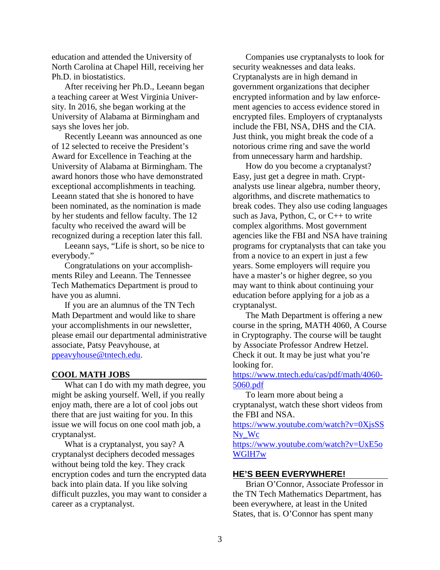education and attended the University of North Carolina at Chapel Hill, receiving her Ph.D. in biostatistics.

After receiving her Ph.D., Leeann began a teaching career at West Virginia University. In 2016, she began working at the University of Alabama at Birmingham and says she loves her job.

Recently Leeann was announced as one of 12 selected to receive the President's Award for Excellence in Teaching at the University of Alabama at Birmingham. The award honors those who have demonstrated exceptional accomplishments in teaching. Leeann stated that she is honored to have been nominated, as the nomination is made by her students and fellow faculty. The 12 faculty who received the award will be recognized during a reception later this fall.

Leeann says, "Life is short, so be nice to everybody."

Congratulations on your accomplishments Riley and Leeann. The Tennessee Tech Mathematics Department is proud to have you as alumni.

If you are an alumnus of the TN Tech Math Department and would like to share your accomplishments in our newsletter, please email our departmental administrative associate, Patsy Peavyhouse, at [ppeavyhouse@tntech.edu.](mailto:ppeavyhouse@tntech.edu)

## **COOL MATH JOBS**

What can I do with my math degree, you might be asking yourself. Well, if you really enjoy math, there are a lot of cool jobs out there that are just waiting for you. In this issue we will focus on one cool math job, a cryptanalyst.

What is a cryptanalyst, you say? A cryptanalyst deciphers decoded messages without being told the key. They crack encryption codes and turn the encrypted data back into plain data. If you like solving difficult puzzles, you may want to consider a career as a cryptanalyst.

Companies use cryptanalysts to look for security weaknesses and data leaks. Cryptanalysts are in high demand in government organizations that decipher encrypted information and by law enforcement agencies to access evidence stored in encrypted files. Employers of cryptanalysts include the FBI, NSA, DHS and the CIA. Just think, you might break the code of a notorious crime ring and save the world from unnecessary harm and hardship.

How do you become a cryptanalyst? Easy, just get a degree in math. Cryptanalysts use linear algebra, number theory, algorithms, and discrete mathematics to break codes. They also use coding languages such as Java, Python, C, or C++ to write complex algorithms. Most government agencies like the FBI and NSA have training programs for cryptanalysts that can take you from a novice to an expert in just a few years. Some employers will require you have a master's or higher degree, so you may want to think about continuing your education before applying for a job as a cryptanalyst.

The Math Department is offering a new course in the spring, MATH 4060, A Course in Cryptography. The course will be taught by Associate Professor Andrew Hetzel. Check it out. It may be just what you're looking for.

[https://www.tntech.edu/cas/pdf/math/4060-](https://www.tntech.edu/cas/pdf/math/4060-5060.pdf) [5060.pdf](https://www.tntech.edu/cas/pdf/math/4060-5060.pdf)

To learn more about being a cryptanalyst, watch these short videos from the FBI and NSA.

[https://www.youtube.com/watch?v=0XjsSS](https://www.youtube.com/watch?v=0XjsSSNy_Wc) N<sub>v</sub> W<sub>c</sub>

[https://www.youtube.com/watch?v=UxE5o](https://www.youtube.com/watch?v=UxE5oWGlH7w) [WGlH7w](https://www.youtube.com/watch?v=UxE5oWGlH7w)

#### **HE'S BEEN EVERYWHERE!**

Brian O'Connor, Associate Professor in the TN Tech Mathematics Department, has been everywhere, at least in the United States, that is. O'Connor has spent many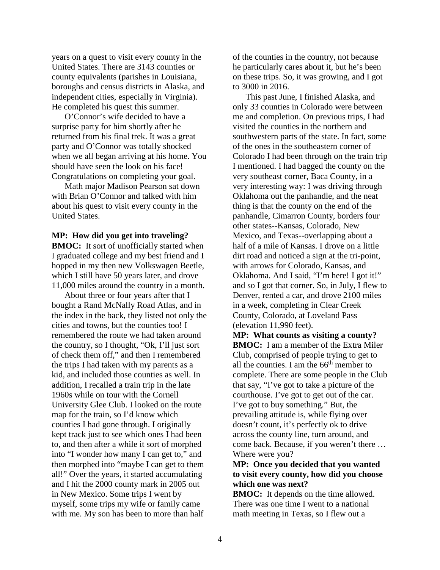years on a quest to visit every county in the United States. There are 3143 counties or county equivalents (parishes in Louisiana, boroughs and census districts in Alaska, and independent cities, especially in Virginia). He completed his quest this summer.

O'Connor's wife decided to have a surprise party for him shortly after he returned from his final trek. It was a great party and O'Connor was totally shocked when we all began arriving at his home. You should have seen the look on his face! Congratulations on completing your goal.

Math major Madison Pearson sat down with Brian O'Connor and talked with him about his quest to visit every county in the United States.

#### **MP: How did you get into traveling?**

**BMOC:** It sort of unofficially started when I graduated college and my best friend and I hopped in my then new Volkswagen Beetle, which I still have 50 years later, and drove 11,000 miles around the country in a month.

About three or four years after that I bought a Rand McNally Road Atlas, and in the index in the back, they listed not only the cities and towns, but the counties too! I remembered the route we had taken around the country, so I thought, "Ok, I'll just sort of check them off," and then I remembered the trips I had taken with my parents as a kid, and included those counties as well. In addition, I recalled a train trip in the late 1960s while on tour with the Cornell University Glee Club. I looked on the route map for the train, so I'd know which counties I had gone through. I originally kept track just to see which ones I had been to, and then after a while it sort of morphed into "I wonder how many I can get to," and then morphed into "maybe I can get to them all!" Over the years, it started accumulating and I hit the 2000 county mark in 2005 out in New Mexico. Some trips I went by myself, some trips my wife or family came with me. My son has been to more than half

of the counties in the country, not because he particularly cares about it, but he's been on these trips. So, it was growing, and I got to 3000 in 2016.

This past June, I finished Alaska, and only 33 counties in Colorado were between me and completion. On previous trips, I had visited the counties in the northern and southwestern parts of the state. In fact, some of the ones in the southeastern corner of Colorado I had been through on the train trip I mentioned. I had bagged the county on the very southeast corner, Baca County, in a very interesting way: I was driving through Oklahoma out the panhandle, and the neat thing is that the county on the end of the panhandle, Cimarron County, borders four other states--Kansas, Colorado, New Mexico, and Texas--overlapping about a half of a mile of Kansas. I drove on a little dirt road and noticed a sign at the tri-point, with arrows for Colorado, Kansas, and Oklahoma. And I said, "I'm here! I got it!" and so I got that corner. So, in July, I flew to Denver, rented a car, and drove 2100 miles in a week, completing in Clear Creek County, Colorado, at Loveland Pass (elevation 11,990 feet).

**MP: What counts as visiting a county? BMOC:** I am a member of the Extra Miler Club, comprised of people trying to get to all the counties. I am the  $66<sup>th</sup>$  member to complete. There are some people in the Club that say, "I've got to take a picture of the courthouse. I've got to get out of the car. I've got to buy something." But, the prevailing attitude is, while flying over doesn't count, it's perfectly ok to drive across the county line, turn around, and come back. Because, if you weren't there … Where were you?

# **MP: Once you decided that you wanted to visit every county, how did you choose which one was next?**

**BMOC:** It depends on the time allowed. There was one time I went to a national math meeting in Texas, so I flew out a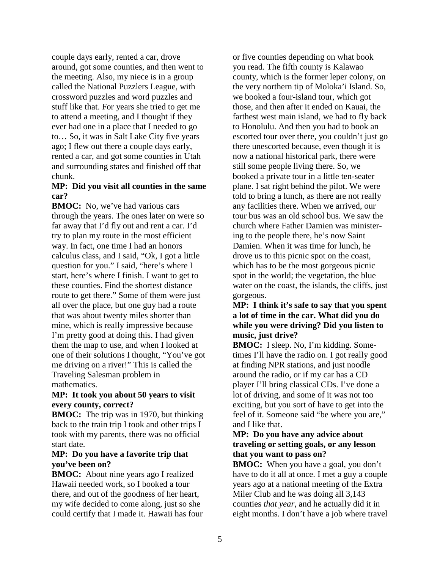couple days early, rented a car, drove around, got some counties, and then went to the meeting. Also, my niece is in a group called the National Puzzlers League, with crossword puzzles and word puzzles and stuff like that. For years she tried to get me to attend a meeting, and I thought if they ever had one in a place that I needed to go to… So, it was in Salt Lake City five years ago; I flew out there a couple days early, rented a car, and got some counties in Utah and surrounding states and finished off that chunk.

## **MP: Did you visit all counties in the same car?**

**BMOC:** No, we've had various cars through the years. The ones later on were so far away that I'd fly out and rent a car. I'd try to plan my route in the most efficient way. In fact, one time I had an honors calculus class, and I said, "Ok, I got a little question for you." I said, "here's where I start, here's where I finish. I want to get to these counties. Find the shortest distance route to get there." Some of them were just all over the place, but one guy had a route that was about twenty miles shorter than mine, which is really impressive because I'm pretty good at doing this. I had given them the map to use, and when I looked at one of their solutions I thought, "You've got me driving on a river!" This is called the Traveling Salesman problem in mathematics.

## **MP: It took you about 50 years to visit every county, correct?**

**BMOC:** The trip was in 1970, but thinking back to the train trip I took and other trips I took with my parents, there was no official start date.

## **MP: Do you have a favorite trip that you've been on?**

**BMOC:** About nine years ago I realized Hawaii needed work, so I booked a tour there, and out of the goodness of her heart, my wife decided to come along, just so she could certify that I made it. Hawaii has four or five counties depending on what book you read. The fifth county is Kalawao county, which is the former leper colony, on the very northern tip of Moloka'i Island. So, we booked a four-island tour, which got those, and then after it ended on Kauai, the farthest west main island, we had to fly back to Honolulu. And then you had to book an escorted tour over there, you couldn't just go there unescorted because, even though it is now a national historical park, there were still some people living there. So, we booked a private tour in a little ten-seater plane. I sat right behind the pilot. We were told to bring a lunch, as there are not really any facilities there. When we arrived, our tour bus was an old school bus. We saw the church where Father Damien was ministering to the people there, he's now Saint Damien. When it was time for lunch, he drove us to this picnic spot on the coast, which has to be the most gorgeous picnic spot in the world; the vegetation, the blue water on the coast, the islands, the cliffs, just gorgeous.

## **MP: I think it's safe to say that you spent a lot of time in the car. What did you do while you were driving? Did you listen to music, just drive?**

**BMOC:** I sleep. No, I'm kidding. Sometimes I'll have the radio on. I got really good at finding NPR stations, and just noodle around the radio, or if my car has a CD player I'll bring classical CDs. I've done a lot of driving, and some of it was not too exciting, but you sort of have to get into the feel of it. Someone said "be where you are," and I like that.

# **MP: Do you have any advice about traveling or setting goals, or any lesson that you want to pass on?**

**BMOC:** When you have a goal, you don't have to do it all at once. I met a guy a couple years ago at a national meeting of the Extra Miler Club and he was doing all 3,143 counties *that year*, and he actually did it in eight months. I don't have a job where travel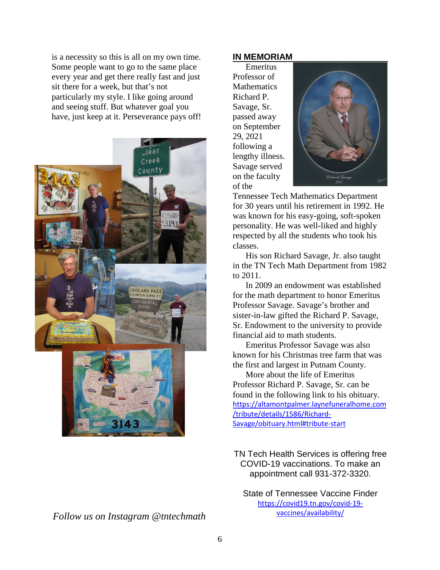is a necessity so this is all on my own time. Some people want to go to the same place every year and get there really fast and just sit there for a week, but that's not particularly my style. I like going around and seeing stuff. But whatever goal you have, just keep at it. Perseverance pays off!





*Follow us on Instagram @tntechmath*

# **IN MEMORIAM**

Emeritus Professor of **Mathematics** Richard P. Savage, Sr. passed away on September 29, 2021 following a lengthy illness. Savage served on the faculty of the



Tennessee Tech Mathematics Department for 30 years until his retirement in 1992. He was known for his easy-going, soft-spoken personality. He was well-liked and highly respected by all the students who took his classes.

His son Richard Savage, Jr. also taught in the TN Tech Math Department from 1982 to 2011.

In 2009 an endowment was established for the math department to honor Emeritus Professor Savage. Savage's brother and sister-in-law gifted the Richard P. Savage, Sr. Endowment to the university to provide financial aid to math students.

Emeritus Professor Savage was also known for his Christmas tree farm that was the first and largest in Putnam County.

More about the life of Emeritus Professor Richard P. Savage, Sr. can be found in the following link to his obituary. [https://altamontpalmer.laynefuneralhome.com](https://altamontpalmer.laynefuneralhome.com/tribute/details/1586/Richard-Savage/obituary.html#tribute-start) [/tribute/details/1586/Richard-](https://altamontpalmer.laynefuneralhome.com/tribute/details/1586/Richard-Savage/obituary.html#tribute-start)[Savage/obituary.html#tribute-start](https://altamontpalmer.laynefuneralhome.com/tribute/details/1586/Richard-Savage/obituary.html#tribute-start)

TN Tech Health Services is offering free COVID-19 vaccinations. To make an appointment call 931-372-3320.

State of Tennessee Vaccine Finder [https://covid19.tn.gov/covid-19](https://covid19.tn.gov/covid-19-vaccines/availability/) [vaccines/availability/](https://covid19.tn.gov/covid-19-vaccines/availability/)